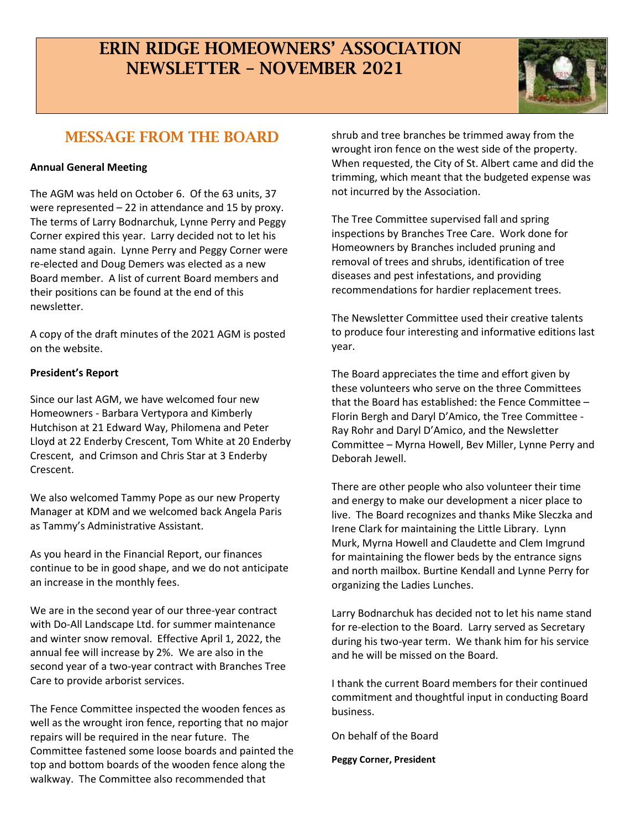## ERIN RIDGE HOMEOWNERS' ASSOCIATION NEWSLETTER – NOVEMBER 2021



### MESSAGE FROM THE BOARD

### **Annual General Meeting**

The AGM was held on October 6. Of the 63 units, 37 were represented – 22 in attendance and 15 by proxy. The terms of Larry Bodnarchuk, Lynne Perry and Peggy Corner expired this year. Larry decided not to let his name stand again. Lynne Perry and Peggy Corner were re-elected and Doug Demers was elected as a new Board member. A list of current Board members and their positions can be found at the end of this newsletter.

A copy of the draft minutes of the 2021 AGM is posted on the website.

### **President's Report**

Since our last AGM, we have welcomed four new Homeowners - Barbara Vertypora and Kimberly Hutchison at 21 Edward Way, Philomena and Peter Lloyd at 22 Enderby Crescent, Tom White at 20 Enderby Crescent, and Crimson and Chris Star at 3 Enderby Crescent.

We also welcomed Tammy Pope as our new Property Manager at KDM and we welcomed back Angela Paris as Tammy's Administrative Assistant.

As you heard in the Financial Report, our finances continue to be in good shape, and we do not anticipate an increase in the monthly fees.

We are in the second year of our three-year contract with Do-All Landscape Ltd. for summer maintenance and winter snow removal. Effective April 1, 2022, the annual fee will increase by 2%. We are also in the second year of a two-year contract with Branches Tree Care to provide arborist services.

The Fence Committee inspected the wooden fences as well as the wrought iron fence, reporting that no major repairs will be required in the near future. The Committee fastened some loose boards and painted the top and bottom boards of the wooden fence along the walkway. The Committee also recommended that

shrub and tree branches be trimmed away from the wrought iron fence on the west side of the property. When requested, the City of St. Albert came and did the trimming, which meant that the budgeted expense was not incurred by the Association.

The Tree Committee supervised fall and spring inspections by Branches Tree Care. Work done for Homeowners by Branches included pruning and removal of trees and shrubs, identification of tree diseases and pest infestations, and providing recommendations for hardier replacement trees.

The Newsletter Committee used their creative talents to produce four interesting and informative editions last year.

The Board appreciates the time and effort given by these volunteers who serve on the three Committees that the Board has established: the Fence Committee – Florin Bergh and Daryl D'Amico, the Tree Committee - Ray Rohr and Daryl D'Amico, and the Newsletter Committee – Myrna Howell, Bev Miller, Lynne Perry and Deborah Jewell.

There are other people who also volunteer their time and energy to make our development a nicer place to live. The Board recognizes and thanks Mike Sleczka and Irene Clark for maintaining the Little Library. Lynn Murk, Myrna Howell and Claudette and Clem Imgrund for maintaining the flower beds by the entrance signs and north mailbox. Burtine Kendall and Lynne Perry for organizing the Ladies Lunches.

Larry Bodnarchuk has decided not to let his name stand for re-election to the Board. Larry served as Secretary during his two-year term. We thank him for his service and he will be missed on the Board.

I thank the current Board members for their continued commitment and thoughtful input in conducting Board business.

On behalf of the Board

**Peggy Corner, President**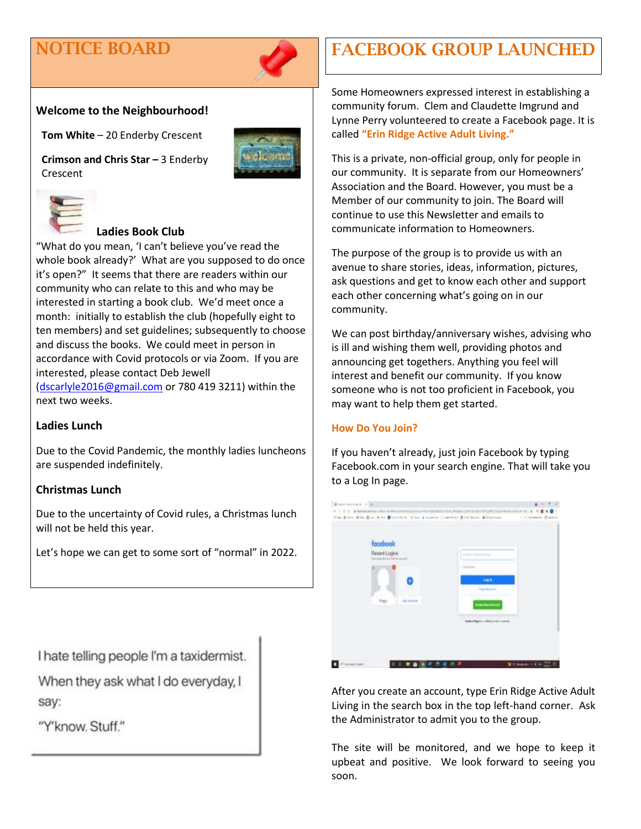## NOTICE BOARD



### **Welcome to the Neighbourhood!**

**Tom White** – 20 Enderby Crescent

**Crimson and Chris Star –** 3 Enderby Crescent



### **Ladies Book Club**

"What do you mean, 'I can't believe you've read the whole book already?' What are you supposed to do once it's open?" It seems that there are readers within our community who can relate to this and who may be interested in starting a book club. We'd meet once a month: initially to establish the club (hopefully eight to ten members) and set guidelines; subsequently to choose and discuss the books. We could meet in person in accordance with Covid protocols or via Zoom. If you are interested, please contact Deb Jewell [\(dscarlyle2016@gmail.com](mailto:dscarlyle2016@gmail.com) or 780 419 3211) within the next two weeks.

### **Ladies Lunch**

Due to the Covid Pandemic, the monthly ladies luncheons are suspended indefinitely.

### **Christmas Lunch**

Due to the uncertainty of Covid rules, a Christmas lunch will not be held this year.

Let's hope we can get to some sort of "normal" in 2022.

I hate telling people I'm a taxidermist.

When they ask what I do everyday, I say:

"Y'know. Stuff."

Some Homeowners expressed interest in establishing a community forum. Clem and Claudette Imgrund and Lynne Perry volunteered to create a Facebook page. It is called **"Erin Ridge Active Adult Living."**

This is a private, non-official group, only for people in our community. It is separate from our Homeowners' Association and the Board. However, you must be a Member of our community to join. The Board will continue to use this Newsletter and emails to communicate information to Homeowners.

The purpose of the group is to provide us with an avenue to share stories, ideas, information, pictures, ask questions and get to know each other and support each other concerning what's going on in our community.

We can post birthday/anniversary wishes, advising who is ill and wishing them well, providing photos and announcing get togethers. Anything you feel will interest and benefit our community. If you know someone who is not too proficient in Facebook, you may want to help them get started.

#### **How Do You Join?**

If you haven't already, just join Facebook by typing Facebook.com in your search engine. That will take you to a Log In page.



After you create an account, type Erin Ridge Active Adult Living in the search box in the top left-hand corner. Ask the Administrator to admit you to the group.

The site will be monitored, and we hope to keep it upbeat and positive. We look forward to seeing you soon.

# FACEBOOK GROUP LAUNCHED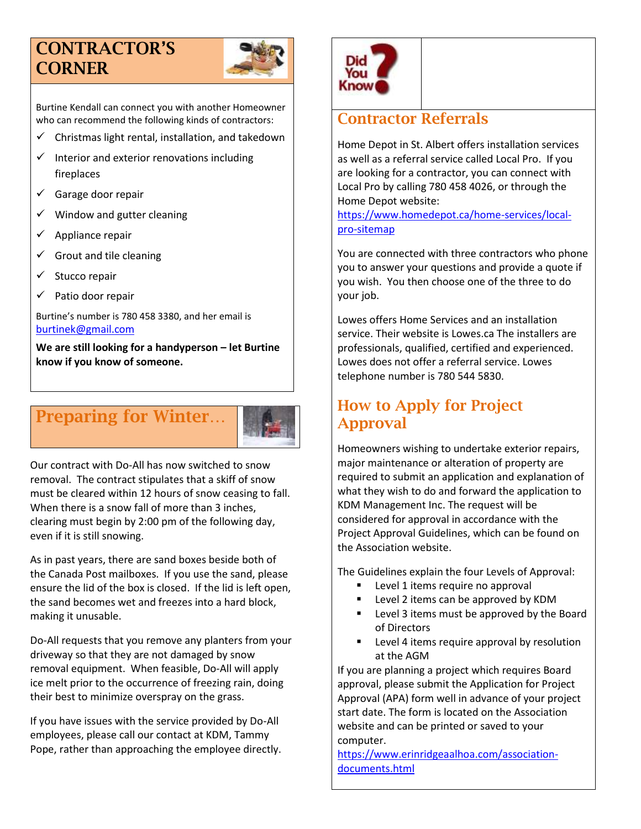## CONTRACTOR'S **CORNER**



Burtine Kendall can connect you with another Homeowner who can recommend the following kinds of contractors:

- $\checkmark$  Christmas light rental, installation, and takedown
- $\checkmark$  Interior and exterior renovations including fireplaces
- $\checkmark$  Garage door repair
- $\checkmark$  Window and gutter cleaning
- Appliance repair
- $\checkmark$  Grout and tile cleaning
- ✓ Stucco repair
- ✓ Patio door repair

Burtine's number is 780 458 3380, and her email is [burtinek@gmail.com](mailto:burtinek@gmail.com)

**We are still looking for a handyperson – let Burtine know if you know of someone.**

## Preparing for Winter…



Our contract with Do-All has now switched to snow removal. The contract stipulates that a skiff of snow must be cleared within 12 hours of snow ceasing to fall. When there is a snow fall of more than 3 inches, clearing must begin by 2:00 pm of the following day, even if it is still snowing.

As in past years, there are sand boxes beside both of the Canada Post mailboxes. If you use the sand, please ensure the lid of the box is closed. If the lid is left open, the sand becomes wet and freezes into a hard block, making it unusable.

Do-All requests that you remove any planters from your driveway so that they are not damaged by snow removal equipment. When feasible, Do-All will apply ice melt prior to the occurrence of freezing rain, doing their best to minimize overspray on the grass.

If you have issues with the service provided by Do-All employees, please call our contact at KDM, Tammy Pope, rather than approaching the employee directly.



### Contractor Referrals

Home Depot in St. Albert offers installation services as well as a referral service called Local Pro. If you are looking for a contractor, you can connect with Local Pro by calling 780 458 4026, or through the Home Depot website:

[https://www.homedepot.ca/home-services/local](https://www.homedepot.ca/home-services/local-pro-sitemap)[pro-sitemap](https://www.homedepot.ca/home-services/local-pro-sitemap)

You are connected with three contractors who phone you to answer your questions and provide a quote if you wish. You then choose one of the three to do your job.

Lowes offers Home Services and an installation service. Their website is Lowes.ca The installers are professionals, qualified, certified and experienced. Lowes does not offer a referral service. Lowes telephone number is 780 544 5830.

### How to Apply for Project Approval

Homeowners wishing to undertake exterior repairs, major maintenance or alteration of property are required to submit an application and explanation of what they wish to do and forward the application to KDM Management Inc. The request will be considered for approval in accordance with the Project Approval Guidelines, which can be found on the Association website.

The Guidelines explain the four Levels of Approval:

- Level 1 items require no approval
- Level 2 items can be approved by KDM
- Level 3 items must be approved by the Board of Directors
- Level 4 items require approval by resolution at the AGM

If you are planning a project which requires Board approval, please submit the Application for Project Approval (APA) form well in advance of your project start date. The form is located on the Association website and can be printed or saved to your computer.

[https://www.erinridgeaalhoa.com/association](https://www.erinridgeaalhoa.com/association-documents.html)[documents.html](https://www.erinridgeaalhoa.com/association-documents.html)